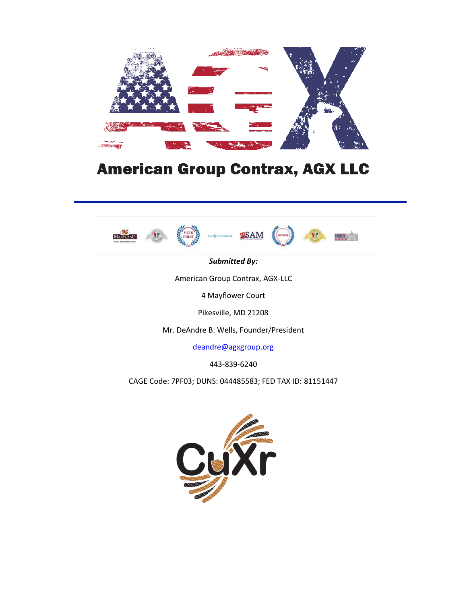

# **American Group Contrax, AGX LLC**







*Submitted By:*

American Group Contrax, AGX-LLC

4 Mayflower Court

Pikesville, MD 21208

Mr. DeAndre B. Wells, Founder/President

[deandre@agxgroup.org](about:blank)

443-839-6240

CAGE Code: 7PF03; DUNS: 044485583; FED TAX ID: 81151447

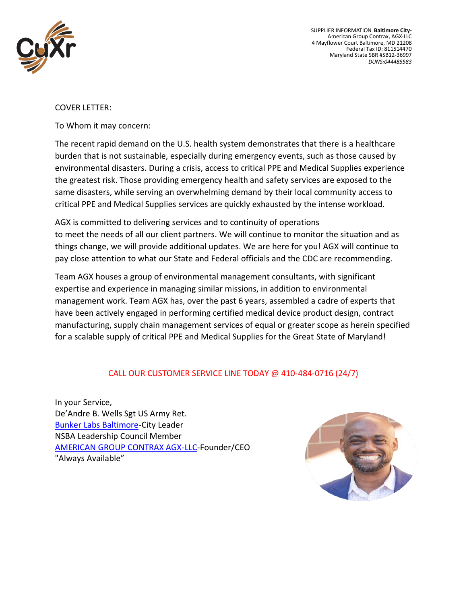

SUPPLIER INFORMATION **Baltimore City-**American Group Contrax, AGX-LLC 4 Mayflower Court Baltimore, MD 21208 Federal Tax ID: 811514470 Maryland State SBR #SB12-36997 *DUNS:044485583*

#### COVER LETTER:

To Whom it may concern:

The recent rapid demand on the U.S. health system demonstrates that there is a healthcare burden that is not sustainable, especially during emergency events, such as those caused by environmental disasters. During a crisis, access to critical PPE and Medical Supplies experience the greatest risk. Those providing emergency health and safety services are exposed to the same disasters, while serving an overwhelming demand by their local community access to critical PPE and Medical Supplies services are quickly exhausted by the intense workload.

AGX is committed to delivering services and to continuity of operations to meet the needs of all our client partners. We will continue to monitor the situation and as things change, we will provide additional updates. We are here for you! AGX will continue to pay close attention to what our State and Federal officials and the CDC are recommending.

Team AGX houses a group of environmental management consultants, with significant expertise and experience in managing similar missions, in addition to environmental management work. Team AGX has, over the past 6 years, assembled a cadre of experts that have been actively engaged in performing certified medical device product design, contract manufacturing, supply chain management services of equal or greater scope as herein specified for a scalable supply of critical PPE and Medical Supplies for the Great State of Maryland!

#### CALL OUR CUSTOMER SERVICE LINE TODAY @ 410-484-0716 (24/7)

In your Service, De'Andre B. Wells Sgt US Army Ret. [Bunker Labs Baltimore-](http://bunkerlabs.org/Baltimore)City Leader NSBA Leadership Council Member AMERICAN [GROUP CONTRAX AGX-LLC-](https://www.agxgroup.org/)Founder/CEO "Always Available"

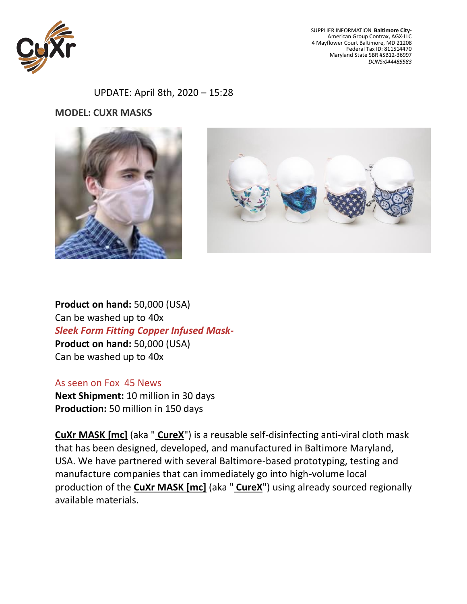

SUPPLIER INFORMATION **Baltimore City-**American Group Contrax, AGX-LLC 4 Mayflower Court Baltimore, MD 21208 Federal Tax ID: 811514470 Maryland State SBR #SB12-36997 *DUNS:044485583*

UPDATE: April 8th, 2020 – 15:28

**MODEL: CUXR MASKS**







**Product on hand:** 50,000 (USA) Can be washed up to 40x *Sleek Form Fitting Copper Infused Mask-***Product on hand:** 50,000 (USA) Can be washed up to 40x

#### As seen on Fox 45 News

**Next Shipment:** 10 million in 30 days **Production:** 50 million in 150 days

**CuXr MASK [mc]** (aka " **CureX**") is a reusable self-disinfecting anti-viral cloth mask that has been designed, developed, and manufactured in Baltimore Maryland, USA. We have partnered with several Baltimore-based prototyping, testing and manufacture companies that can immediately go into high-volume local production of the **CuXr MASK [mc]** (aka " **CureX**") using already sourced regionally available materials.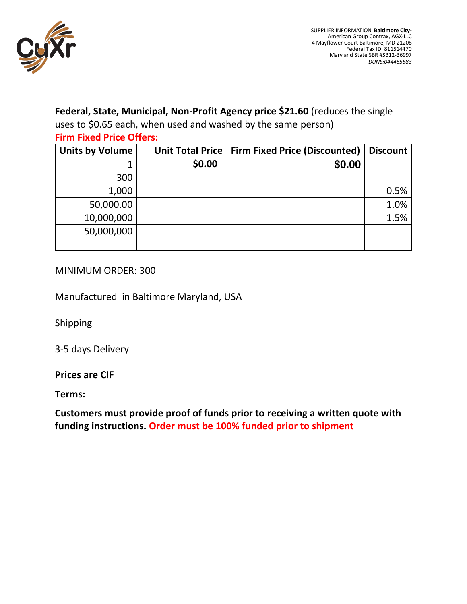

## **Federal, State, Municipal, Non-Profit Agency price \$21.60** (reduces the single

uses to \$0.65 each, when used and washed by the same person) **Firm Fixed Price Offers:**

| <b>Units by Volume</b> | <b>Unit Total Price</b> | <b>Firm Fixed Price (Discounted)</b> | <b>Discount</b> |
|------------------------|-------------------------|--------------------------------------|-----------------|
|                        | \$21.60                 | \$21.60                              |                 |
| 300                    | \$6,480.00              | \$6,480.00                           |                 |
| 1,000                  | \$21,600.00             | \$21,600.00                          | 0.5%            |
| 50,000.00              | \$1,080,000             | \$1,080,000                          | 1.0%            |
| 10,000,000             | \$216,000,000           | \$216,000,000                        | 1.5%            |
| 50,000,000             | \$1.500,000,000         | \$1.500,000,000                      |                 |
|                        |                         |                                      |                 |

### MINIMUM ORDER: 300

Manufactured in Baltimore Maryland, USA

Shipping

3-5 days Delivery

#### **Prices are CIF**

**Terms:**

**Customers must provide proof of funds prior to receiving a written quote with funding instructions. Order must be 100% funded prior to shipment**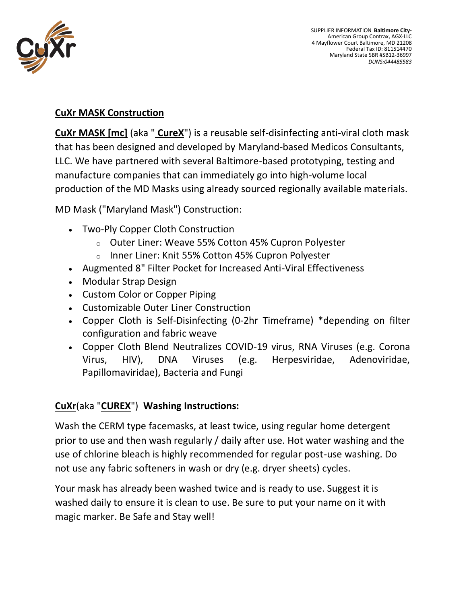

## **CuXr MASK Construction**

**CuXr MASK [mc]** (aka " **CureX**") is a reusable self-disinfecting anti-viral cloth mask that has been designed and developed by Maryland-based Medicos Consultants, LLC. We have partnered with several Baltimore-based prototyping, testing and manufacture companies that can immediately go into high-volume local production of the MD Masks using already sourced regionally available materials.

MD Mask ("Maryland Mask") Construction:

- Two-Ply Copper Cloth Construction
	- o Outer Liner: Weave 55% Cotton 45% Cupron Polyester
	- o Inner Liner: Knit 55% Cotton 45% Cupron Polyester
- Augmented 8" Filter Pocket for Increased Anti-Viral Effectiveness
- Modular Strap Design
- Custom Color or Copper Piping
- Customizable Outer Liner Construction
- Copper Cloth is Self-Disinfecting (0-2hr Timeframe) \*depending on filter configuration and fabric weave
- Copper Cloth Blend Neutralizes COVID-19 virus, RNA Viruses (e.g. Corona Virus, HIV), DNA Viruses (e.g. Herpesviridae, Adenoviridae, Papillomaviridae), Bacteria and Fungi

# **CuXr**(aka "**CUREX**") **Washing Instructions:**

Wash the CERM type facemasks, at least twice, using regular home detergent prior to use and then wash regularly / daily after use. Hot water washing and the use of chlorine bleach is highly recommended for regular post-use washing. Do not use any fabric softeners in wash or dry (e.g. dryer sheets) cycles.

Your mask has already been washed twice and is ready to use. Suggest it is washed daily to ensure it is clean to use. Be sure to put your name on it with magic marker. Be Safe and Stay well!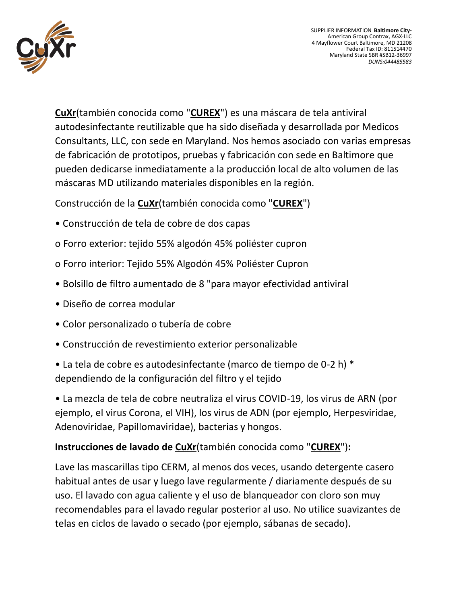

SUPPLIER INFORMATION **Baltimore City-**American Group Contrax, AGX-LLC 4 Mayflower Court Baltimore, MD 21208 Federal Tax ID: 811514470 Maryland State SBR #SB12-36997 *DUNS:044485583*

**CuXr**(también conocida como "**CUREX**") es una máscara de tela antiviral autodesinfectante reutilizable que ha sido diseñada y desarrollada por Medicos Consultants, LLC, con sede en Maryland. Nos hemos asociado con varias empresas de fabricación de prototipos, pruebas y fabricación con sede en Baltimore que pueden dedicarse inmediatamente a la producción local de alto volumen de las máscaras MD utilizando materiales disponibles en la región.

Construcción de la **CuXr**(también conocida como "**CUREX**")

- Construcción de tela de cobre de dos capas
- o Forro exterior: tejido 55% algodón 45% poliéster cupron
- o Forro interior: Tejido 55% Algodón 45% Poliéster Cupron
- Bolsillo de filtro aumentado de 8 "para mayor efectividad antiviral
- Diseño de correa modular
- Color personalizado o tubería de cobre
- Construcción de revestimiento exterior personalizable

• La tela de cobre es autodesinfectante (marco de tiempo de 0-2 h) \* dependiendo de la configuración del filtro y el tejido

• La mezcla de tela de cobre neutraliza el virus COVID-19, los virus de ARN (por ejemplo, el virus Corona, el VIH), los virus de ADN (por ejemplo, Herpesviridae, Adenoviridae, Papillomaviridae), bacterias y hongos.

## **Instrucciones de lavado de CuXr**(también conocida como "**CUREX**")**:**

Lave las mascarillas tipo CERM, al menos dos veces, usando detergente casero habitual antes de usar y luego lave regularmente / diariamente después de su uso. El lavado con agua caliente y el uso de blanqueador con cloro son muy recomendables para el lavado regular posterior al uso. No utilice suavizantes de telas en ciclos de lavado o secado (por ejemplo, sábanas de secado).